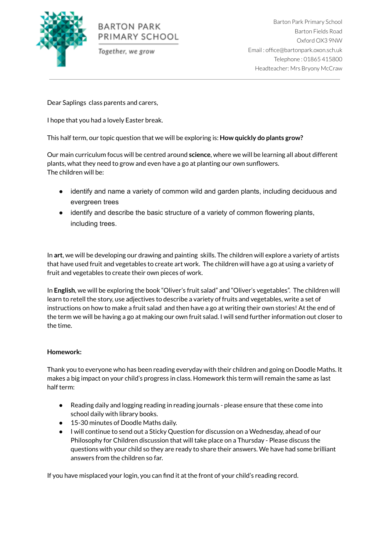

## **BARTON PARK** PRIMARY SCHOOL

Together, we grow

Barton Park Primary School Barton Fields Road Oxford OX3 9NW Email : office@bartonpark.oxon.sch.uk Telephone : 01865 415800 Headteacher: Mrs Bryony McCraw

Dear Saplings class parents and carers,

I hope that you had a lovely Easter break.

This half term, our topic question that we will be exploring is: **How quickly do plants grow?**

Our main curriculum focus will be centred around **science**, where we will be learning all about different plants, what they need to grow and even have a go at planting our own sunflowers. The children will be:

- identify and name a variety of common wild and garden plants, including deciduous and evergreen trees
- identify and describe the basic structure of a variety of common flowering plants, including trees.

In **art**, we will be developing our drawing and painting skills. The children will explore a variety of artists that have used fruit and vegetables to create art work. The children will have a go at using a variety of fruit and vegetables to create their own pieces of work.

In **English**, we will be exploring the book "Oliver's fruit salad" and "Oliver's vegetables". The children will learn to retell the story, use adjectives to describe a variety of fruits and vegetables, write a set of instructions on how to make a fruit salad and then have a go at writing their own stories! At the end of the term we will be having a go at making our own fruit salad. I will send further information out closer to the time.

## **Homework:**

Thank you to everyone who has been reading everyday with their children and going on Doodle Maths. It makes a big impact on your child's progress in class. Homework this term will remain the same as last half term:

- Reading daily and logging reading in reading journals please ensure that these come into school daily with library books.
- 15-30 minutes of Doodle Maths daily.
- I will continue to send out a Sticky Question for discussion on a Wednesday, ahead of our Philosophy for Children discussion that will take place on a Thursday - Please discuss the questions with your child so they are ready to share their answers. We have had some brilliant answers from the children so far.

If you have misplaced your login, you can find it at the front of your child's reading record.